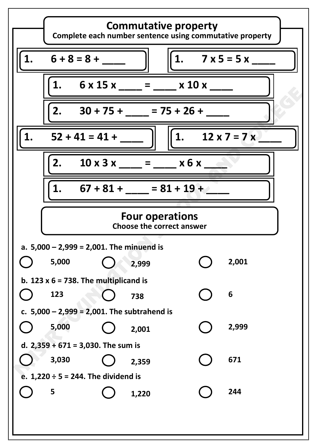